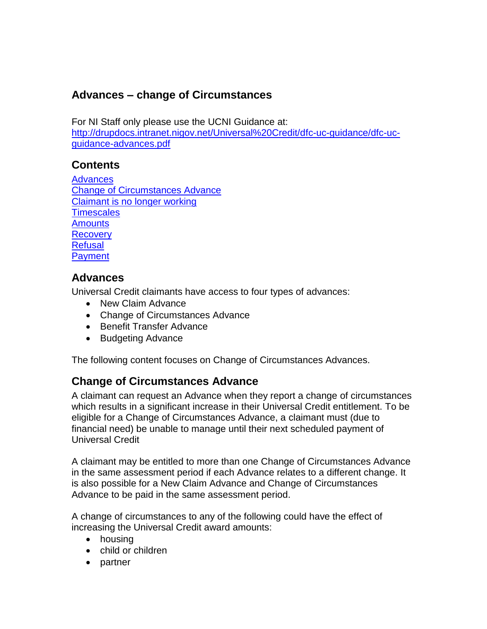# **Advances – change of Circumstances**

For NI Staff only please use the UCNI Guidance at: [http://drupdocs.intranet.nigov.net/Universal%20Credit/dfc-uc-guidance/dfc-uc](http://drupdocs.intranet.nigov.net/Universal%20Credit/dfc-uc-guidance/dfc-uc-guidance-advances.pdf)[guidance-advances.pdf](http://drupdocs.intranet.nigov.net/Universal%20Credit/dfc-uc-guidance/dfc-uc-guidance-advances.pdf)

## **Contents**

**[Advances](#page-0-0)** [Change of Circumstances Advance](#page-0-1) Claimant is no longer working **[Timescales](#page-1-0) [Amounts](#page-1-1) [Recovery](#page-1-2) [Refusal](#page-1-3) [Payment](#page-2-0)** 

### <span id="page-0-0"></span>**Advances**

Universal Credit claimants have access to four types of advances:

- New Claim Advance
- Change of Circumstances Advance
- Benefit Transfer Advance
- Budgeting Advance

The following content focuses on Change of Circumstances Advances.

## <span id="page-0-1"></span>**Change of Circumstances Advance**

A claimant can request an Advance when they report a change of circumstances which results in a significant increase in their Universal Credit entitlement. To be eligible for a Change of Circumstances Advance, a claimant must (due to financial need) be unable to manage until their next scheduled payment of Universal Credit

A claimant may be entitled to more than one Change of Circumstances Advance in the same assessment period if each Advance relates to a different change. It is also possible for a New Claim Advance and Change of Circumstances Advance to be paid in the same assessment period.

A change of circumstances to any of the following could have the effect of increasing the Universal Credit award amounts:

- housing
- child or children
- partner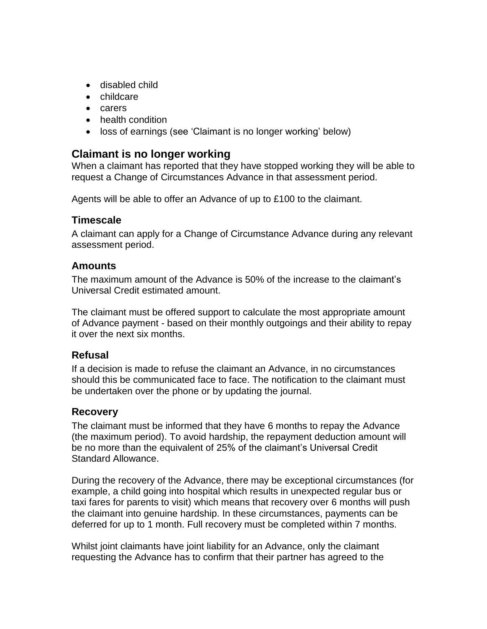- disabled child
- childcare
- carers
- health condition
- loss of earnings (see 'Claimant is no longer working' below)

### **Claimant is no longer working**

When a claimant has reported that they have stopped working they will be able to request a Change of Circumstances Advance in that assessment period.

Agents will be able to offer an Advance of up to £100 to the claimant.

#### <span id="page-1-0"></span>**Timescale**

A claimant can apply for a Change of Circumstance Advance during any relevant assessment period.

#### <span id="page-1-1"></span>**Amounts**

The maximum amount of the Advance is 50% of the increase to the claimant's Universal Credit estimated amount.

The claimant must be offered support to calculate the most appropriate amount of Advance payment - based on their monthly outgoings and their ability to repay it over the next six months.

#### <span id="page-1-3"></span>**Refusal**

If a decision is made to refuse the claimant an Advance, in no circumstances should this be communicated face to face. The notification to the claimant must be undertaken over the phone or by updating the journal.

#### <span id="page-1-2"></span>**Recovery**

The claimant must be informed that they have 6 months to repay the Advance (the maximum period). To avoid hardship, the repayment deduction amount will be no more than the equivalent of 25% of the claimant's Universal Credit Standard Allowance.

During the recovery of the Advance, there may be exceptional circumstances (for example, a child going into hospital which results in unexpected regular bus or taxi fares for parents to visit) which means that recovery over 6 months will push the claimant into genuine hardship. In these circumstances, payments can be deferred for up to 1 month. Full recovery must be completed within 7 months.

Whilst joint claimants have joint liability for an Advance, only the claimant requesting the Advance has to confirm that their partner has agreed to the